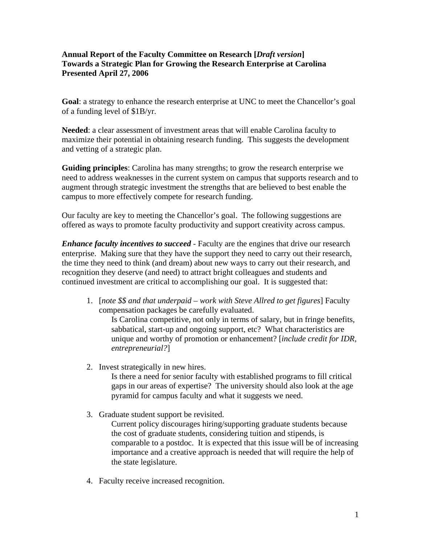## **Annual Report of the Faculty Committee on Research [***Draft version***] Towards a Strategic Plan for Growing the Research Enterprise at Carolina Presented April 27, 2006**

**Goal**: a strategy to enhance the research enterprise at UNC to meet the Chancellor's goal of a funding level of \$1B/yr.

**Needed**: a clear assessment of investment areas that will enable Carolina faculty to maximize their potential in obtaining research funding. This suggests the development and vetting of a strategic plan.

**Guiding principles**: Carolina has many strengths; to grow the research enterprise we need to address weaknesses in the current system on campus that supports research and to augment through strategic investment the strengths that are believed to best enable the campus to more effectively compete for research funding.

Our faculty are key to meeting the Chancellor's goal. The following suggestions are offered as ways to promote faculty productivity and support creativity across campus.

*Enhance faculty incentives to succeed* - Faculty are the engines that drive our research enterprise. Making sure that they have the support they need to carry out their research, the time they need to think (and dream) about new ways to carry out their research, and recognition they deserve (and need) to attract bright colleagues and students and continued investment are critical to accomplishing our goal. It is suggested that:

1. [*note \$\$ and that underpaid – work with Steve Allred to get figures*] Faculty compensation packages be carefully evaluated.

Is Carolina competitive, not only in terms of salary, but in fringe benefits, sabbatical, start-up and ongoing support, etc? What characteristics are unique and worthy of promotion or enhancement? [*include credit for IDR, entrepreneurial?*]

2. Invest strategically in new hires.

Is there a need for senior faculty with established programs to fill critical gaps in our areas of expertise? The university should also look at the age pyramid for campus faculty and what it suggests we need.

3. Graduate student support be revisited.

Current policy discourages hiring/supporting graduate students because the cost of graduate students, considering tuition and stipends, is comparable to a postdoc. It is expected that this issue will be of increasing importance and a creative approach is needed that will require the help of the state legislature.

4. Faculty receive increased recognition.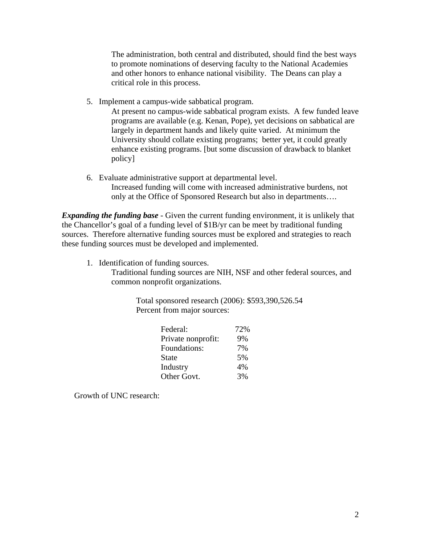The administration, both central and distributed, should find the best ways to promote nominations of deserving faculty to the National Academies and other honors to enhance national visibility. The Deans can play a critical role in this process.

5. Implement a campus-wide sabbatical program.

At present no campus-wide sabbatical program exists. A few funded leave programs are available (e.g. Kenan, Pope), yet decisions on sabbatical are largely in department hands and likely quite varied. At minimum the University should collate existing programs; better yet, it could greatly enhance existing programs. [but some discussion of drawback to blanket policy]

6. Evaluate administrative support at departmental level. Increased funding will come with increased administrative burdens, not only at the Office of Sponsored Research but also in departments….

*Expanding the funding base* - Given the current funding environment, it is unlikely that the Chancellor's goal of a funding level of \$1B/yr can be meet by traditional funding sources. Therefore alternative funding sources must be explored and strategies to reach these funding sources must be developed and implemented.

1. Identification of funding sources.

Traditional funding sources are NIH, NSF and other federal sources, and common nonprofit organizations.

> Total sponsored research (2006): \$593,390,526.54 Percent from major sources:

| Federal:           | 72% |
|--------------------|-----|
| Private nonprofit: | 9%  |
| Foundations:       | 7%  |
| <b>State</b>       | 5%  |
| Industry           | 4%  |
| Other Govt.        | 3%  |

Growth of UNC research: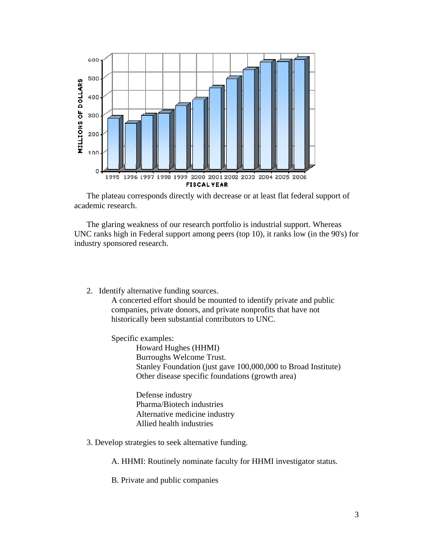

 The plateau corresponds directly with decrease or at least flat federal support of academic research.

 The glaring weakness of our research portfolio is industrial support. Whereas UNC ranks high in Federal support among peers (top 10), it ranks low (in the 90's) for industry sponsored research.

2. Identify alternative funding sources.

A concerted effort should be mounted to identify private and public companies, private donors, and private nonprofits that have not historically been substantial contributors to UNC.

Specific examples:

 Howard Hughes (HHMI) Burroughs Welcome Trust. Stanley Foundation (just gave 100,000,000 to Broad Institute) Other disease specific foundations (growth area)

 Defense industry Pharma/Biotech industries Alternative medicine industry Allied health industries

3. Develop strategies to seek alternative funding.

A. HHMI: Routinely nominate faculty for HHMI investigator status.

B. Private and public companies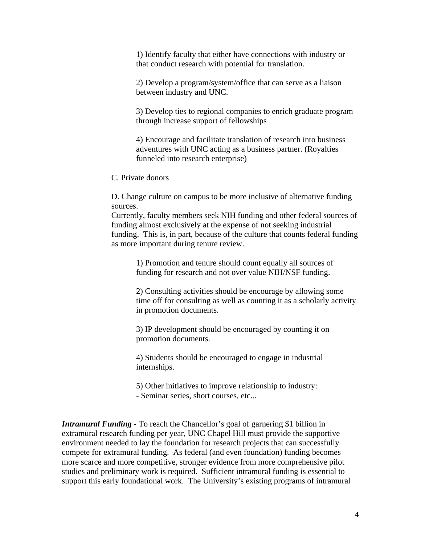1) Identify faculty that either have connections with industry or that conduct research with potential for translation.

2) Develop a program/system/office that can serve as a liaison between industry and UNC.

3) Develop ties to regional companies to enrich graduate program through increase support of fellowships

4) Encourage and facilitate translation of research into business adventures with UNC acting as a business partner. (Royalties funneled into research enterprise)

C. Private donors

 D. Change culture on campus to be more inclusive of alternative funding sources.

 Currently, faculty members seek NIH funding and other federal sources of funding almost exclusively at the expense of not seeking industrial funding. This is, in part, because of the culture that counts federal funding as more important during tenure review.

> 1) Promotion and tenure should count equally all sources of funding for research and not over value NIH/NSF funding.

2) Consulting activities should be encourage by allowing some time off for consulting as well as counting it as a scholarly activity in promotion documents.

3) IP development should be encouraged by counting it on promotion documents.

4) Students should be encouraged to engage in industrial internships.

 5) Other initiatives to improve relationship to industry: - Seminar series, short courses, etc...

*Intramural Funding -* To reach the Chancellor's goal of garnering \$1 billion in extramural research funding per year, UNC Chapel Hill must provide the supportive environment needed to lay the foundation for research projects that can successfully compete for extramural funding. As federal (and even foundation) funding becomes more scarce and more competitive, stronger evidence from more comprehensive pilot studies and preliminary work is required. Sufficient intramural funding is essential to support this early foundational work. The University's existing programs of intramural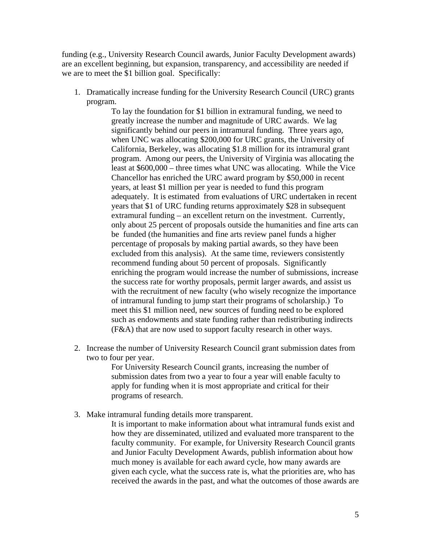funding (e.g., University Research Council awards, Junior Faculty Development awards) are an excellent beginning, but expansion, transparency, and accessibility are needed if we are to meet the \$1 billion goal. Specifically:

1. Dramatically increase funding for the University Research Council (URC) grants program.

To lay the foundation for \$1 billion in extramural funding, we need to greatly increase the number and magnitude of URC awards. We lag significantly behind our peers in intramural funding. Three years ago, when UNC was allocating \$200,000 for URC grants, the University of California, Berkeley, was allocating \$1.8 million for its intramural grant program. Among our peers, the University of Virginia was allocating the least at \$600,000 – three times what UNC was allocating. While the Vice Chancellor has enriched the URC award program by \$50,000 in recent years, at least \$1 million per year is needed to fund this program adequately. It is estimated from evaluations of URC undertaken in recent years that \$1 of URC funding returns approximately \$28 in subsequent extramural funding – an excellent return on the investment. Currently, only about 25 percent of proposals outside the humanities and fine arts can be funded (the humanities and fine arts review panel funds a higher percentage of proposals by making partial awards, so they have been excluded from this analysis). At the same time, reviewers consistently recommend funding about 50 percent of proposals. Significantly enriching the program would increase the number of submissions, increase the success rate for worthy proposals, permit larger awards, and assist us with the recruitment of new faculty (who wisely recognize the importance of intramural funding to jump start their programs of scholarship.) To meet this \$1 million need, new sources of funding need to be explored such as endowments and state funding rather than redistributing indirects (F&A) that are now used to support faculty research in other ways.

2. Increase the number of University Research Council grant submission dates from two to four per year.

> For University Research Council grants, increasing the number of submission dates from two a year to four a year will enable faculty to apply for funding when it is most appropriate and critical for their programs of research.

3. Make intramural funding details more transparent.

It is important to make information about what intramural funds exist and how they are disseminated, utilized and evaluated more transparent to the faculty community. For example, for University Research Council grants and Junior Faculty Development Awards, publish information about how much money is available for each award cycle, how many awards are given each cycle, what the success rate is, what the priorities are, who has received the awards in the past, and what the outcomes of those awards are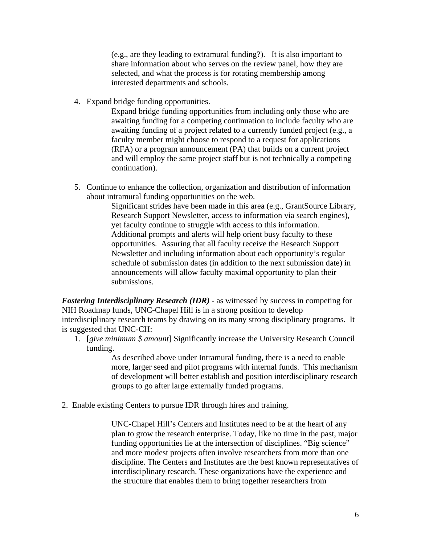(e.g., are they leading to extramural funding?). It is also important to share information about who serves on the review panel, how they are selected, and what the process is for rotating membership among interested departments and schools.

4. Expand bridge funding opportunities.

Expand bridge funding opportunities from including only those who are awaiting funding for a competing continuation to include faculty who are awaiting funding of a project related to a currently funded project (e.g., a faculty member might choose to respond to a request for applications (RFA) or a program announcement (PA) that builds on a current project and will employ the same project staff but is not technically a competing continuation).

5. Continue to enhance the collection, organization and distribution of information about intramural funding opportunities on the web.

Significant strides have been made in this area (e.g., GrantSource Library, Research Support Newsletter, access to information via search engines), yet faculty continue to struggle with access to this information. Additional prompts and alerts will help orient busy faculty to these opportunities. Assuring that all faculty receive the Research Support Newsletter and including information about each opportunity's regular schedule of submission dates (in addition to the next submission date) in announcements will allow faculty maximal opportunity to plan their submissions.

*Fostering Interdisciplinary Research (IDR)* - as witnessed by success in competing for NIH Roadmap funds, UNC-Chapel Hill is in a strong position to develop interdisciplinary research teams by drawing on its many strong disciplinary programs. It is suggested that UNC-CH:

1. [*give minimum \$ amount*] Significantly increase the University Research Council funding.

> As described above under Intramural funding, there is a need to enable more, larger seed and pilot programs with internal funds. This mechanism of development will better establish and position interdisciplinary research groups to go after large externally funded programs.

2. Enable existing Centers to pursue IDR through hires and training.

UNC-Chapel Hill's Centers and Institutes need to be at the heart of any plan to grow the research enterprise. Today, like no time in the past, major funding opportunities lie at the intersection of disciplines. "Big science" and more modest projects often involve researchers from more than one discipline. The Centers and Institutes are the best known representatives of interdisciplinary research. These organizations have the experience and the structure that enables them to bring together researchers from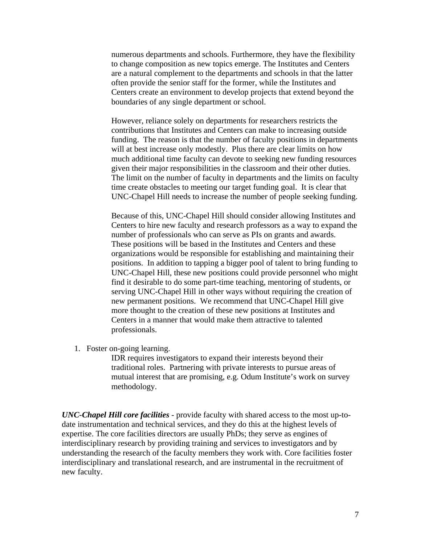numerous departments and schools. Furthermore, they have the flexibility to change composition as new topics emerge. The Institutes and Centers are a natural complement to the departments and schools in that the latter often provide the senior staff for the former, while the Institutes and Centers create an environment to develop projects that extend beyond the boundaries of any single department or school.

However, reliance solely on departments for researchers restricts the contributions that Institutes and Centers can make to increasing outside funding. The reason is that the number of faculty positions in departments will at best increase only modestly. Plus there are clear limits on how much additional time faculty can devote to seeking new funding resources given their major responsibilities in the classroom and their other duties. The limit on the number of faculty in departments and the limits on faculty time create obstacles to meeting our target funding goal. It is clear that UNC-Chapel Hill needs to increase the number of people seeking funding.

Because of this, UNC-Chapel Hill should consider allowing Institutes and Centers to hire new faculty and research professors as a way to expand the number of professionals who can serve as PIs on grants and awards. These positions will be based in the Institutes and Centers and these organizations would be responsible for establishing and maintaining their positions. In addition to tapping a bigger pool of talent to bring funding to UNC-Chapel Hill, these new positions could provide personnel who might find it desirable to do some part-time teaching, mentoring of students, or serving UNC-Chapel Hill in other ways without requiring the creation of new permanent positions. We recommend that UNC-Chapel Hill give more thought to the creation of these new positions at Institutes and Centers in a manner that would make them attractive to talented professionals.

1. Foster on-going learning.

IDR requires investigators to expand their interests beyond their traditional roles. Partnering with private interests to pursue areas of mutual interest that are promising, e.g. Odum Institute's work on survey methodology.

*UNC-Chapel Hill core facilities* - provide faculty with shared access to the most up-todate instrumentation and technical services, and they do this at the highest levels of expertise. The core facilities directors are usually PhDs; they serve as engines of interdisciplinary research by providing training and services to investigators and by understanding the research of the faculty members they work with. Core facilities foster interdisciplinary and translational research, and are instrumental in the recruitment of new faculty.